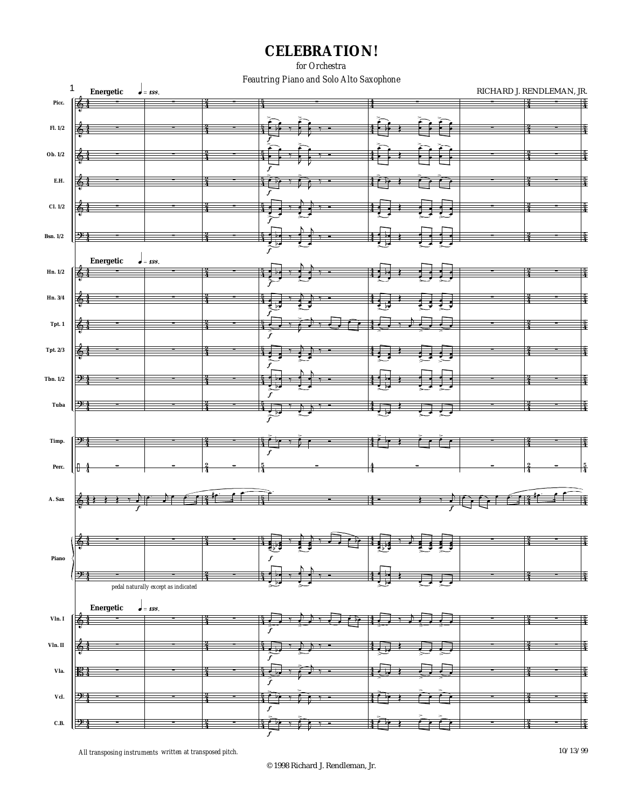## **CELEBRATION!**

*for Orchestra Feautring Piano and Solo Alto Saxophone*



*All transposing instruments written at transposed pitch.*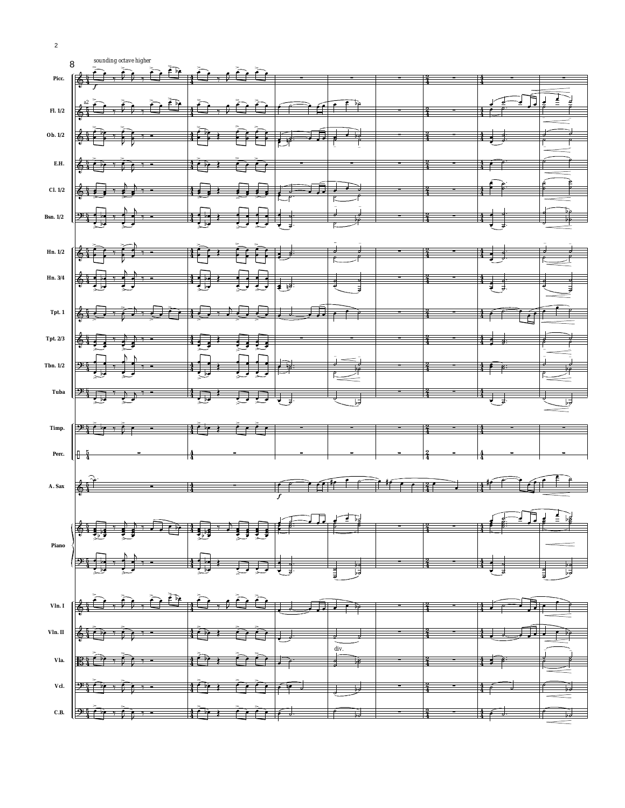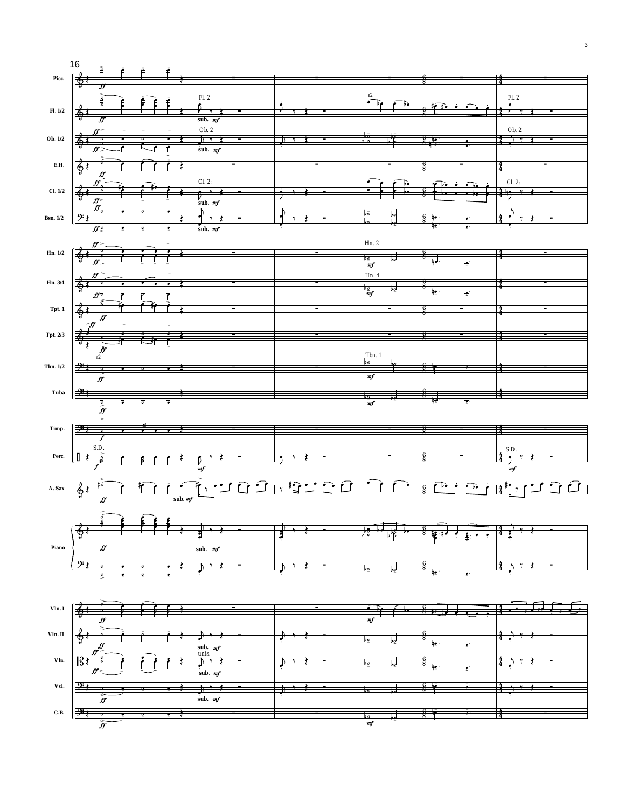![](_page_2_Figure_0.jpeg)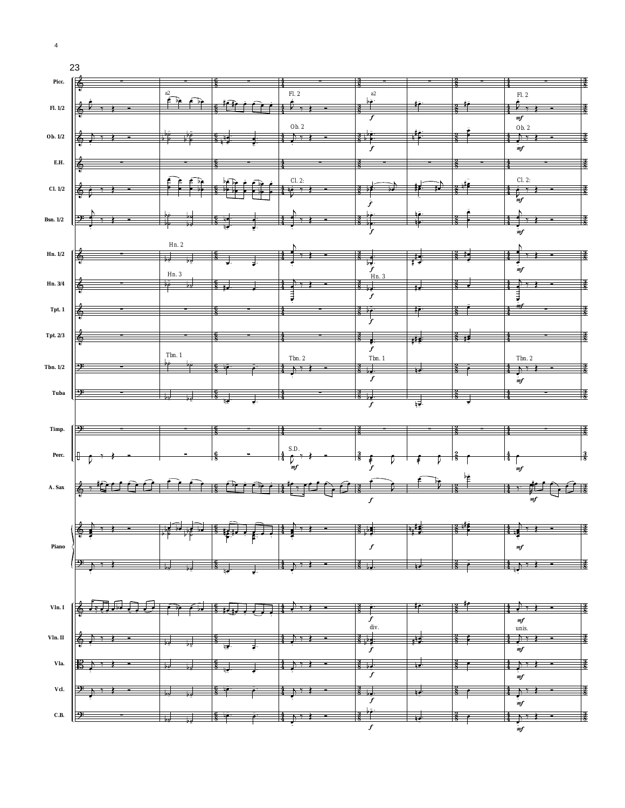![](_page_3_Figure_0.jpeg)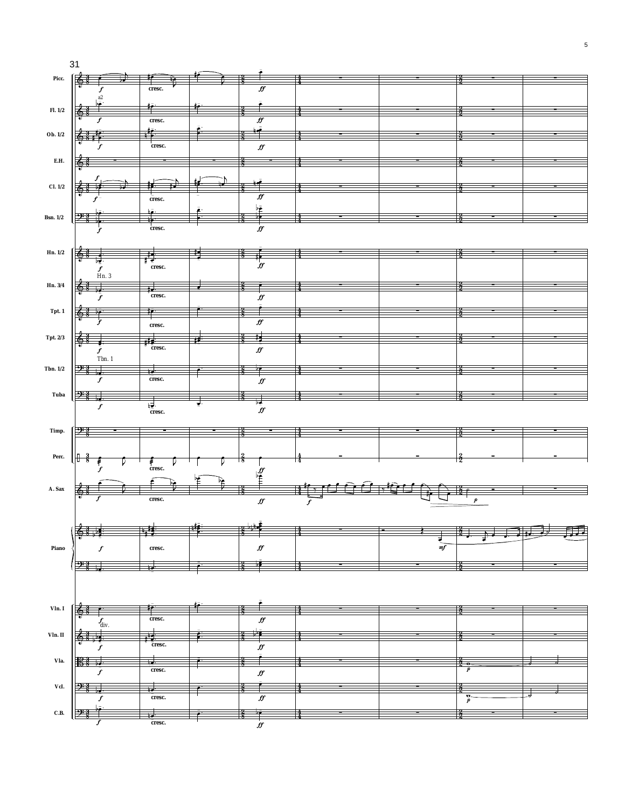![](_page_4_Figure_0.jpeg)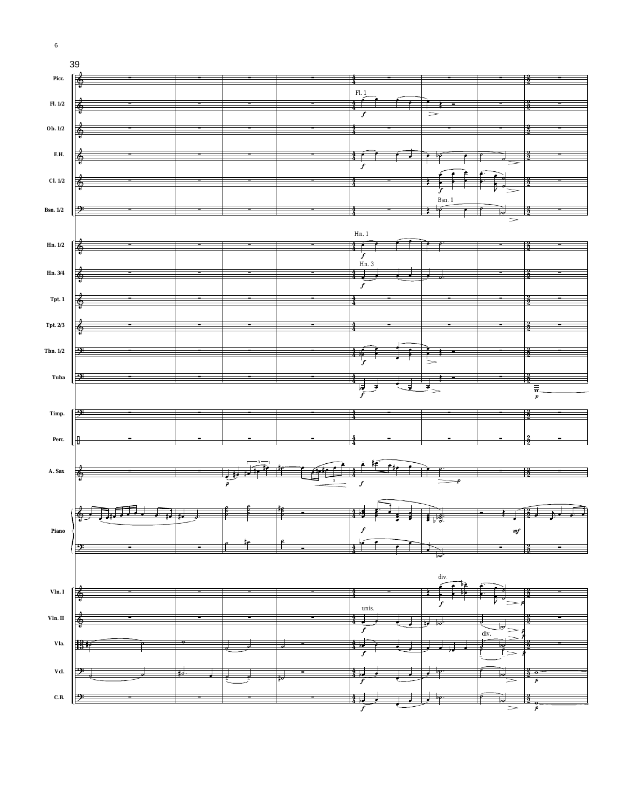![](_page_5_Figure_0.jpeg)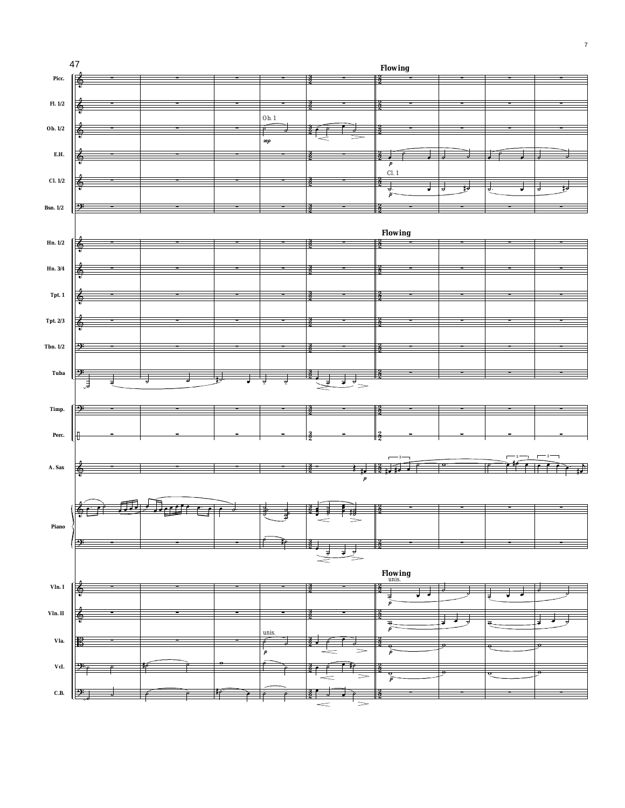![](_page_6_Figure_0.jpeg)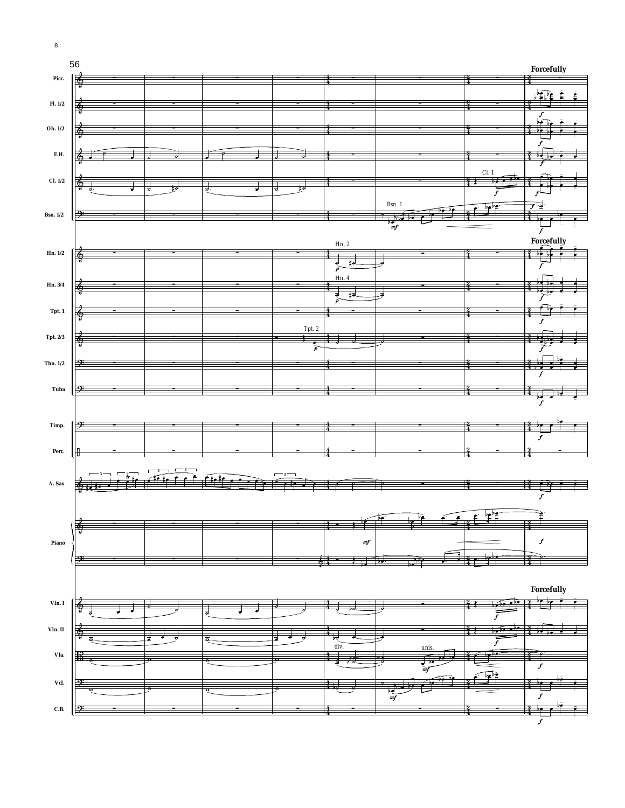![](_page_7_Figure_0.jpeg)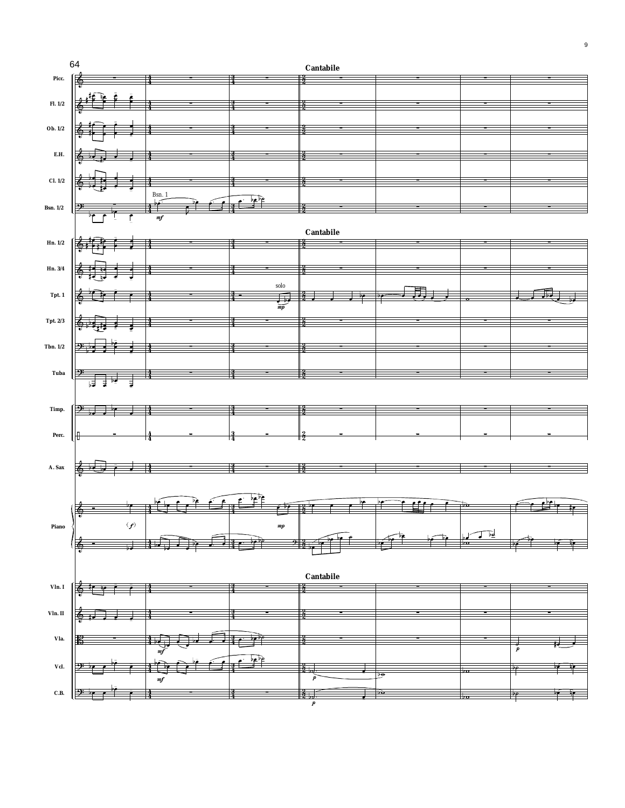![](_page_8_Figure_0.jpeg)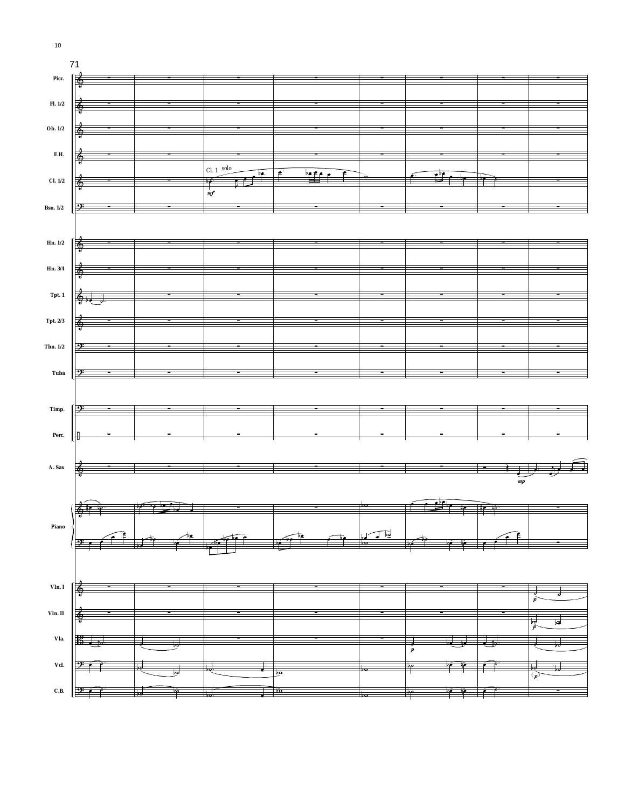![](_page_9_Figure_0.jpeg)